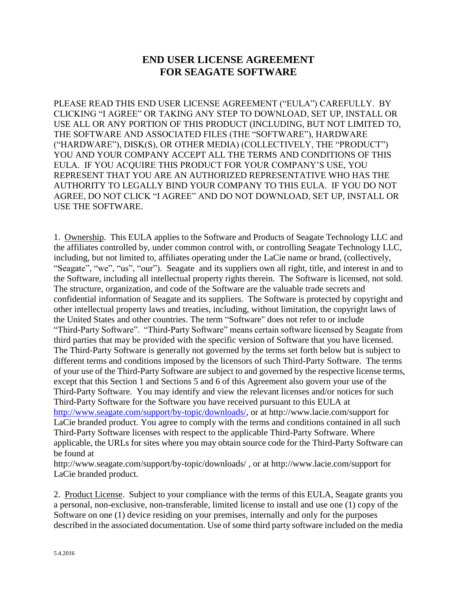## **END USER LICENSE AGREEMENT FOR SEAGATE SOFTWARE**

PLEASE READ THIS END USER LICENSE AGREEMENT ("EULA") CAREFULLY. BY CLICKING "I AGREE" OR TAKING ANY STEP TO DOWNLOAD, SET UP, INSTALL OR USE ALL OR ANY PORTION OF THIS PRODUCT (INCLUDING, BUT NOT LIMITED TO, THE SOFTWARE AND ASSOCIATED FILES (THE "SOFTWARE"), HARDWARE ("HARDWARE"), DISK(S), OR OTHER MEDIA) (COLLECTIVELY, THE "PRODUCT") YOU AND YOUR COMPANY ACCEPT ALL THE TERMS AND CONDITIONS OF THIS EULA. IF YOU ACQUIRE THIS PRODUCT FOR YOUR COMPANY'S USE, YOU REPRESENT THAT YOU ARE AN AUTHORIZED REPRESENTATIVE WHO HAS THE AUTHORITY TO LEGALLY BIND YOUR COMPANY TO THIS EULA. IF YOU DO NOT AGREE, DO NOT CLICK "I AGREE" AND DO NOT DOWNLOAD, SET UP, INSTALL OR USE THE SOFTWARE.

1. Ownership. This EULA applies to the Software and Products of Seagate Technology LLC and the affiliates controlled by, under common control with, or controlling Seagate Technology LLC, including, but not limited to, affiliates operating under the LaCie name or brand, (collectively, "Seagate", "we", "us", "our"). Seagate and its suppliers own all right, title, and interest in and to the Software, including all intellectual property rights therein. The Software is licensed, not sold. The structure, organization, and code of the Software are the valuable trade secrets and confidential information of Seagate and its suppliers. The Software is protected by copyright and other intellectual property laws and treaties, including, without limitation, the copyright laws of the United States and other countries. The term "Software" does not refer to or include "Third-Party Software". "Third-Party Software" means certain software licensed by Seagate from third parties that may be provided with the specific version of Software that you have licensed. The Third-Party Software is generally not governed by the terms set forth below but is subject to different terms and conditions imposed by the licensors of such Third-Party Software. The terms of your use of the Third-Party Software are subject to and governed by the respective license terms, except that this Section 1 and Sections 5 and 6 of this Agreement also govern your use of the Third-Party Software. You may identify and view the relevant licenses and/or notices for such Third-Party Software for the Software you have received pursuant to this EULA at [http://www.seagate.com/support/by-topic/downloads/,](http://www.seagate.com/support/by-topic/downloads/) or at http://www.lacie.com/support for LaCie branded product. You agree to comply with the terms and conditions contained in all such Third-Party Software licenses with respect to the applicable Third-Party Software. Where applicable, the URLs for sites where you may obtain source code for the Third-Party Software can be found at

http://www.seagate.com/support/by-topic/downloads/ , or at http://www.lacie.com/support for LaCie branded product.

2. Product License. Subject to your compliance with the terms of this EULA, Seagate grants you a personal, non-exclusive, non-transferable, limited license to install and use one (1) copy of the Software on one (1) device residing on your premises, internally and only for the purposes described in the associated documentation. Use of some third party software included on the media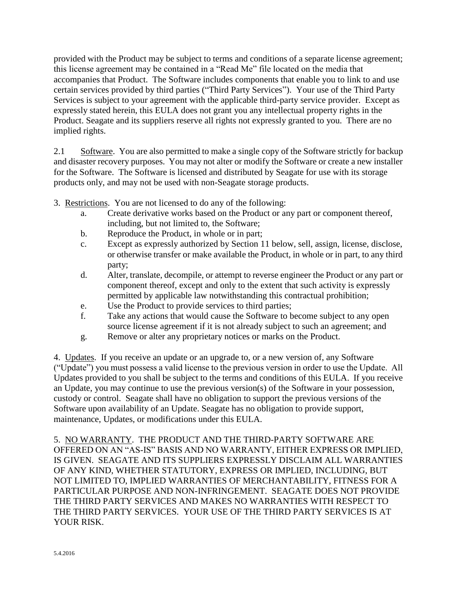provided with the Product may be subject to terms and conditions of a separate license agreement; this license agreement may be contained in a "Read Me" file located on the media that accompanies that Product. The Software includes components that enable you to link to and use certain services provided by third parties ("Third Party Services"). Your use of the Third Party Services is subject to your agreement with the applicable third-party service provider. Except as expressly stated herein, this EULA does not grant you any intellectual property rights in the Product. Seagate and its suppliers reserve all rights not expressly granted to you. There are no implied rights.

2.1 Software. You are also permitted to make a single copy of the Software strictly for backup and disaster recovery purposes. You may not alter or modify the Software or create a new installer for the Software. The Software is licensed and distributed by Seagate for use with its storage products only, and may not be used with non-Seagate storage products.

- 3. Restrictions. You are not licensed to do any of the following:
	- a. Create derivative works based on the Product or any part or component thereof, including, but not limited to, the Software;
	- b. Reproduce the Product, in whole or in part;
	- c. Except as expressly authorized by Section 11 below, sell, assign, license, disclose, or otherwise transfer or make available the Product, in whole or in part, to any third party;
	- d. Alter, translate, decompile, or attempt to reverse engineer the Product or any part or component thereof, except and only to the extent that such activity is expressly permitted by applicable law notwithstanding this contractual prohibition;
	- e. Use the Product to provide services to third parties;
	- f. Take any actions that would cause the Software to become subject to any open source license agreement if it is not already subject to such an agreement; and
	- g. Remove or alter any proprietary notices or marks on the Product.

4. Updates. If you receive an update or an upgrade to, or a new version of, any Software ("Update") you must possess a valid license to the previous version in order to use the Update. All Updates provided to you shall be subject to the terms and conditions of this EULA. If you receive an Update, you may continue to use the previous version(s) of the Software in your possession, custody or control. Seagate shall have no obligation to support the previous versions of the Software upon availability of an Update. Seagate has no obligation to provide support, maintenance, Updates, or modifications under this EULA.

5. NO WARRANTY. THE PRODUCT AND THE THIRD-PARTY SOFTWARE ARE OFFERED ON AN "AS-IS" BASIS AND NO WARRANTY, EITHER EXPRESS OR IMPLIED, IS GIVEN. SEAGATE AND ITS SUPPLIERS EXPRESSLY DISCLAIM ALL WARRANTIES OF ANY KIND, WHETHER STATUTORY, EXPRESS OR IMPLIED, INCLUDING, BUT NOT LIMITED TO, IMPLIED WARRANTIES OF MERCHANTABILITY, FITNESS FOR A PARTICULAR PURPOSE AND NON-INFRINGEMENT. SEAGATE DOES NOT PROVIDE THE THIRD PARTY SERVICES AND MAKES NO WARRANTIES WITH RESPECT TO THE THIRD PARTY SERVICES. YOUR USE OF THE THIRD PARTY SERVICES IS AT YOUR RISK.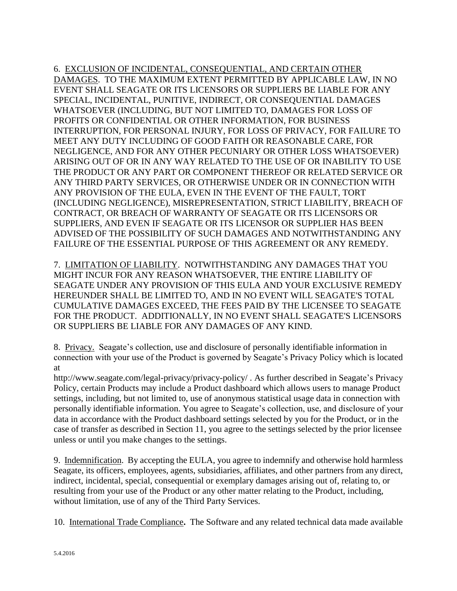6. EXCLUSION OF INCIDENTAL, CONSEQUENTIAL, AND CERTAIN OTHER DAMAGES. TO THE MAXIMUM EXTENT PERMITTED BY APPLICABLE LAW, IN NO EVENT SHALL SEAGATE OR ITS LICENSORS OR SUPPLIERS BE LIABLE FOR ANY SPECIAL, INCIDENTAL, PUNITIVE, INDIRECT, OR CONSEQUENTIAL DAMAGES WHATSOEVER (INCLUDING, BUT NOT LIMITED TO, DAMAGES FOR LOSS OF PROFITS OR CONFIDENTIAL OR OTHER INFORMATION, FOR BUSINESS INTERRUPTION, FOR PERSONAL INJURY, FOR LOSS OF PRIVACY, FOR FAILURE TO MEET ANY DUTY INCLUDING OF GOOD FAITH OR REASONABLE CARE, FOR NEGLIGENCE, AND FOR ANY OTHER PECUNIARY OR OTHER LOSS WHATSOEVER) ARISING OUT OF OR IN ANY WAY RELATED TO THE USE OF OR INABILITY TO USE THE PRODUCT OR ANY PART OR COMPONENT THEREOF OR RELATED SERVICE OR ANY THIRD PARTY SERVICES, OR OTHERWISE UNDER OR IN CONNECTION WITH ANY PROVISION OF THE EULA, EVEN IN THE EVENT OF THE FAULT, TORT (INCLUDING NEGLIGENCE), MISREPRESENTATION, STRICT LIABILITY, BREACH OF CONTRACT, OR BREACH OF WARRANTY OF SEAGATE OR ITS LICENSORS OR SUPPLIERS, AND EVEN IF SEAGATE OR ITS LICENSOR OR SUPPLIER HAS BEEN ADVISED OF THE POSSIBILITY OF SUCH DAMAGES AND NOTWITHSTANDING ANY FAILURE OF THE ESSENTIAL PURPOSE OF THIS AGREEMENT OR ANY REMEDY.

7. LIMITATION OF LIABILITY. NOTWITHSTANDING ANY DAMAGES THAT YOU MIGHT INCUR FOR ANY REASON WHATSOEVER, THE ENTIRE LIABILITY OF SEAGATE UNDER ANY PROVISION OF THIS EULA AND YOUR EXCLUSIVE REMEDY HEREUNDER SHALL BE LIMITED TO, AND IN NO EVENT WILL SEAGATE'S TOTAL CUMULATIVE DAMAGES EXCEED, THE FEES PAID BY THE LICENSEE TO SEAGATE FOR THE PRODUCT. ADDITIONALLY, IN NO EVENT SHALL SEAGATE'S LICENSORS OR SUPPLIERS BE LIABLE FOR ANY DAMAGES OF ANY KIND.

8. Privacy. Seagate's collection, use and disclosure of personally identifiable information in connection with your use of the Product is governed by Seagate's Privacy Policy which is located at

http://www.seagate.com/legal-privacy/privacy-policy/ . As further described in Seagate's Privacy Policy, certain Products may include a Product dashboard which allows users to manage Product settings, including, but not limited to, use of anonymous statistical usage data in connection with personally identifiable information. You agree to Seagate's collection, use, and disclosure of your data in accordance with the Product dashboard settings selected by you for the Product, or in the case of transfer as described in Section 11, you agree to the settings selected by the prior licensee unless or until you make changes to the settings.

9. Indemnification. By accepting the EULA, you agree to indemnify and otherwise hold harmless Seagate, its officers, employees, agents, subsidiaries, affiliates, and other partners from any direct, indirect, incidental, special, consequential or exemplary damages arising out of, relating to, or resulting from your use of the Product or any other matter relating to the Product, including, without limitation, use of any of the Third Party Services.

10. International Trade Compliance**.** The Software and any related technical data made available